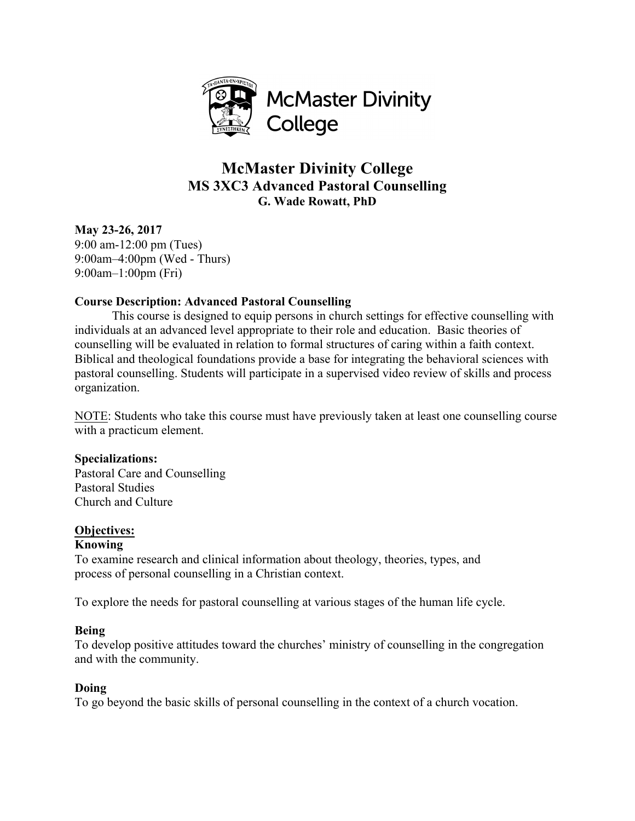

# **McMaster Divinity College MS 3XC3 Advanced Pastoral Counselling G. Wade Rowatt, PhD**

**May 23-26, 2017** 9:00 am-12:00 pm (Tues) 9:00am–4:00pm (Wed - Thurs) 9:00am–1:00pm (Fri)

# **Course Description: Advanced Pastoral Counselling**

This course is designed to equip persons in church settings for effective counselling with individuals at an advanced level appropriate to their role and education. Basic theories of counselling will be evaluated in relation to formal structures of caring within a faith context. Biblical and theological foundations provide a base for integrating the behavioral sciences with pastoral counselling. Students will participate in a supervised video review of skills and process organization.

NOTE: Students who take this course must have previously taken at least one counselling course with a practicum element.

# **Specializations:**

Pastoral Care and Counselling Pastoral Studies Church and Culture

# **Objectives:**

#### **Knowing**

To examine research and clinical information about theology, theories, types, and process of personal counselling in a Christian context.

To explore the needs for pastoral counselling at various stages of the human life cycle.

# **Being**

To develop positive attitudes toward the churches' ministry of counselling in the congregation and with the community.

#### **Doing**

To go beyond the basic skills of personal counselling in the context of a church vocation.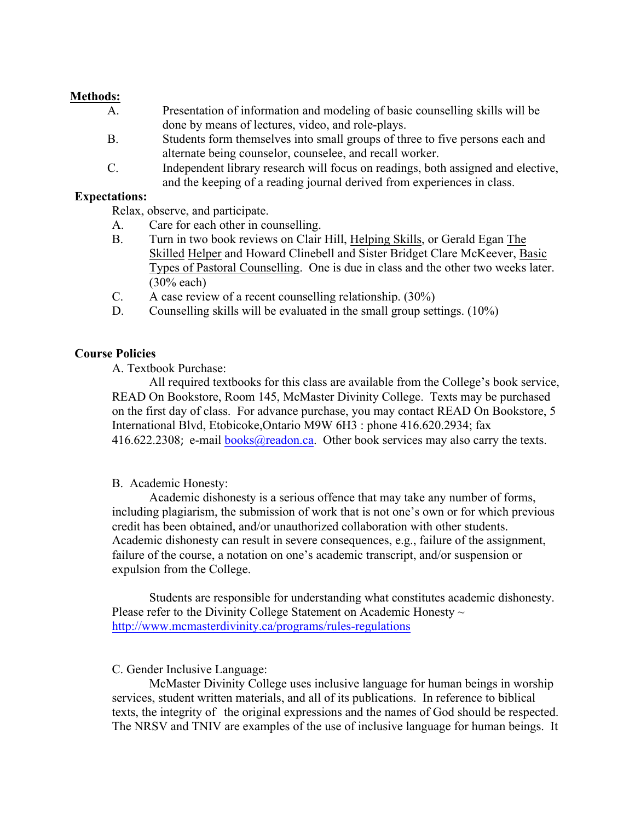### **Methods:**

- A. Presentation of information and modeling of basic counselling skills will be done by means of lectures, video, and role-plays.
- B. Students form themselves into small groups of three to five persons each and alternate being counselor, counselee, and recall worker.
- C. Independent library research will focus on readings, both assigned and elective, and the keeping of a reading journal derived from experiences in class.

#### **Expectations:**

Relax, observe, and participate.

- A. Care for each other in counselling.
- B. Turn in two book reviews on Clair Hill, Helping Skills, or Gerald Egan The Skilled Helper and Howard Clinebell and Sister Bridget Clare McKeever, Basic Types of Pastoral Counselling. One is due in class and the other two weeks later. (30% each)
- C. A case review of a recent counselling relationship. (30%)
- D. Counselling skills will be evaluated in the small group settings. (10%)

### **Course Policies**

A. Textbook Purchase:

All required textbooks for this class are available from the College's book service, READ On Bookstore, Room 145, McMaster Divinity College. Texts may be purchased on the first day of class. For advance purchase, you may contact READ On Bookstore, 5 International Blvd, Etobicoke,Ontario M9W 6H3 : phone 416.620.2934; fax 416.622.2308; e-mail books@readon.ca. Other book services may also carry the texts.

#### B. Academic Honesty:

Academic dishonesty is a serious offence that may take any number of forms, including plagiarism, the submission of work that is not one's own or for which previous credit has been obtained, and/or unauthorized collaboration with other students. Academic dishonesty can result in severe consequences, e.g., failure of the assignment, failure of the course, a notation on one's academic transcript, and/or suspension or expulsion from the College.

Students are responsible for understanding what constitutes academic dishonesty. Please refer to the Divinity College Statement on Academic Honesty  $\sim$ http://www.mcmasterdivinity.ca/programs/rules-regulations

#### C. Gender Inclusive Language:

McMaster Divinity College uses inclusive language for human beings in worship services, student written materials, and all of its publications. In reference to biblical texts, the integrity of the original expressions and the names of God should be respected. The NRSV and TNIV are examples of the use of inclusive language for human beings. It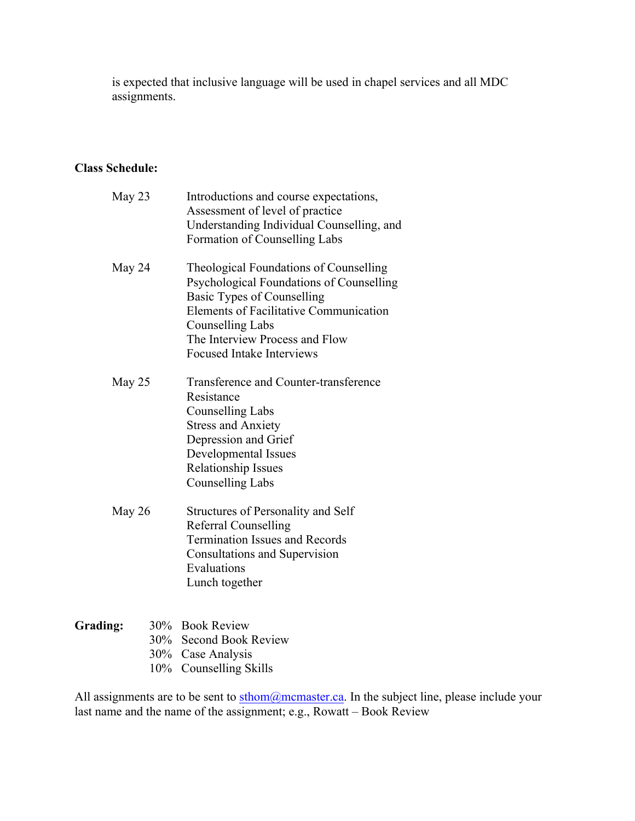is expected that inclusive language will be used in chapel services and all MDC assignments.

# **Class Schedule:**

| May 23 | Introductions and course expectations,<br>Assessment of level of practice<br>Understanding Individual Counselling, and<br>Formation of Counselling Labs                                                                                                                   |
|--------|---------------------------------------------------------------------------------------------------------------------------------------------------------------------------------------------------------------------------------------------------------------------------|
| May 24 | Theological Foundations of Counselling<br>Psychological Foundations of Counselling<br><b>Basic Types of Counselling</b><br><b>Elements of Facilitative Communication</b><br><b>Counselling Labs</b><br>The Interview Process and Flow<br><b>Focused Intake Interviews</b> |
| May 25 | Transference and Counter-transference<br>Resistance<br><b>Counselling Labs</b><br><b>Stress and Anxiety</b><br>Depression and Grief<br>Developmental Issues<br><b>Relationship Issues</b><br><b>Counselling Labs</b>                                                      |
| May 26 | Structures of Personality and Self<br><b>Referral Counselling</b><br><b>Termination Issues and Records</b><br>Consultations and Supervision<br>Evaluations<br>Lunch together                                                                                              |

### **Grading:** 30% Book Review 30% Second Book Review 30% Case Analysis 10% Counselling Skills

All assignments are to be sent to sthom@mcmaster.ca. In the subject line, please include your last name and the name of the assignment; e.g., Rowatt – Book Review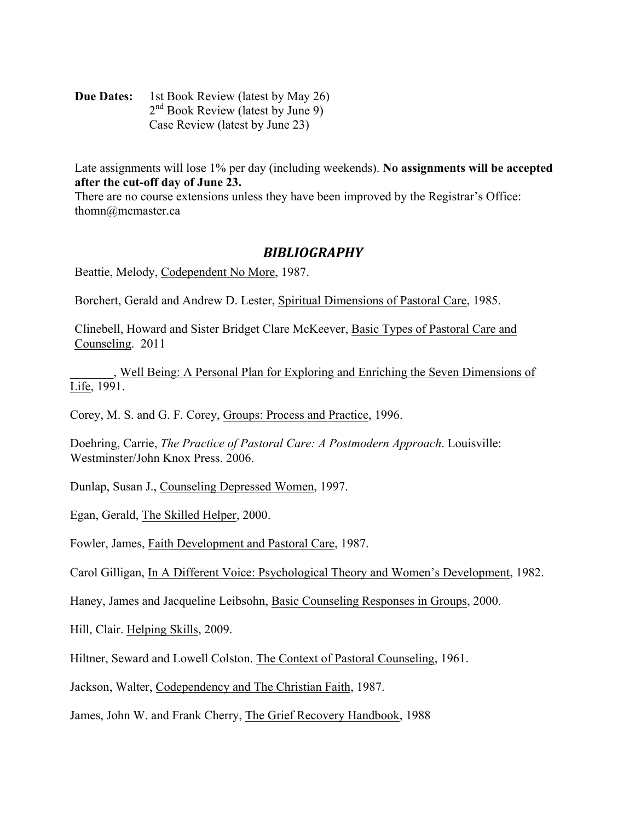**Due Dates:** 1st Book Review (latest by May 26) 2<sup>nd</sup> Book Review (latest by June 9) Case Review (latest by June 23)

Late assignments will lose 1% per day (including weekends). **No assignments will be accepted after the cut-off day of June 23.**

There are no course extensions unless they have been improved by the Registrar's Office: thomn@mcmaster.ca

# *BIBLIOGRAPHY*

Beattie, Melody, Codependent No More, 1987.

Borchert, Gerald and Andrew D. Lester, Spiritual Dimensions of Pastoral Care, 1985.

Clinebell, Howard and Sister Bridget Clare McKeever, Basic Types of Pastoral Care and Counseling. 2011

\_\_\_\_\_\_\_, Well Being: A Personal Plan for Exploring and Enriching the Seven Dimensions of Life, 1991.

Corey, M. S. and G. F. Corey, Groups: Process and Practice, 1996.

Doehring, Carrie, *The Practice of Pastoral Care: A Postmodern Approach*. Louisville: Westminster/John Knox Press. 2006.

Dunlap, Susan J., Counseling Depressed Women, 1997.

Egan, Gerald, The Skilled Helper, 2000.

Fowler, James, Faith Development and Pastoral Care, 1987.

Carol Gilligan, In A Different Voice: Psychological Theory and Women's Development, 1982.

Haney, James and Jacqueline Leibsohn, Basic Counseling Responses in Groups, 2000.

Hill, Clair. Helping Skills, 2009.

Hiltner, Seward and Lowell Colston. The Context of Pastoral Counseling, 1961.

Jackson, Walter, Codependency and The Christian Faith, 1987.

James, John W. and Frank Cherry, The Grief Recovery Handbook, 1988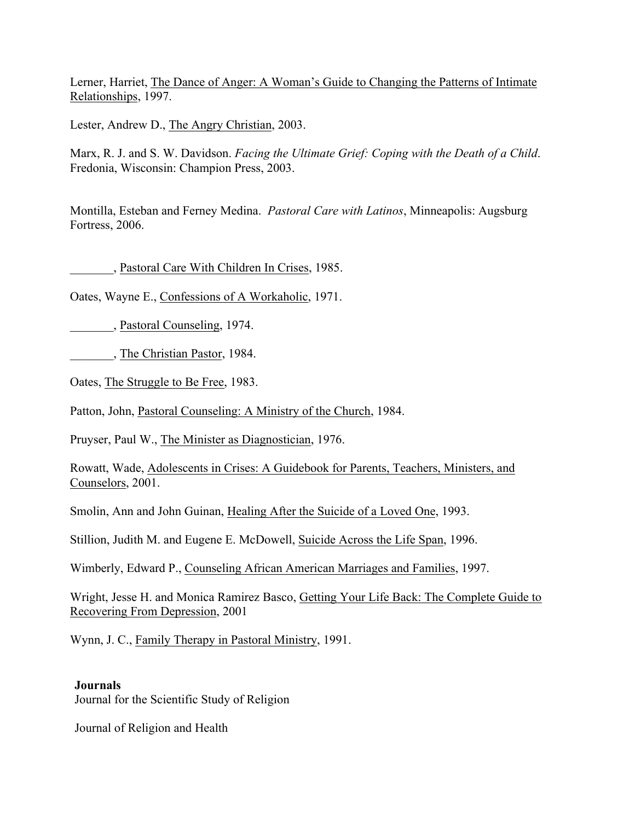Lerner, Harriet, The Dance of Anger: A Woman's Guide to Changing the Patterns of Intimate Relationships, 1997.

Lester, Andrew D., The Angry Christian, 2003.

Marx, R. J. and S. W. Davidson. *Facing the Ultimate Grief: Coping with the Death of a Child*. Fredonia, Wisconsin: Champion Press, 2003.

Montilla, Esteban and Ferney Medina. *Pastoral Care with Latinos*, Minneapolis: Augsburg Fortress, 2006.

\_\_\_\_\_\_\_, Pastoral Care With Children In Crises, 1985.

Oates, Wayne E., Confessions of A Workaholic, 1971.

\_\_\_\_\_\_\_, Pastoral Counseling, 1974.

\_\_\_\_\_\_\_, The Christian Pastor, 1984.

Oates, The Struggle to Be Free, 1983.

Patton, John, Pastoral Counseling: A Ministry of the Church, 1984.

Pruyser, Paul W., The Minister as Diagnostician, 1976.

Rowatt, Wade, Adolescents in Crises: A Guidebook for Parents, Teachers, Ministers, and Counselors, 2001.

Smolin, Ann and John Guinan, Healing After the Suicide of a Loved One, 1993.

Stillion, Judith M. and Eugene E. McDowell, Suicide Across the Life Span, 1996.

Wimberly, Edward P., Counseling African American Marriages and Families, 1997.

Wright, Jesse H. and Monica Ramirez Basco, Getting Your Life Back: The Complete Guide to Recovering From Depression, 2001

Wynn, J. C., Family Therapy in Pastoral Ministry, 1991.

#### **Journals**

Journal for the Scientific Study of Religion

Journal of Religion and Health